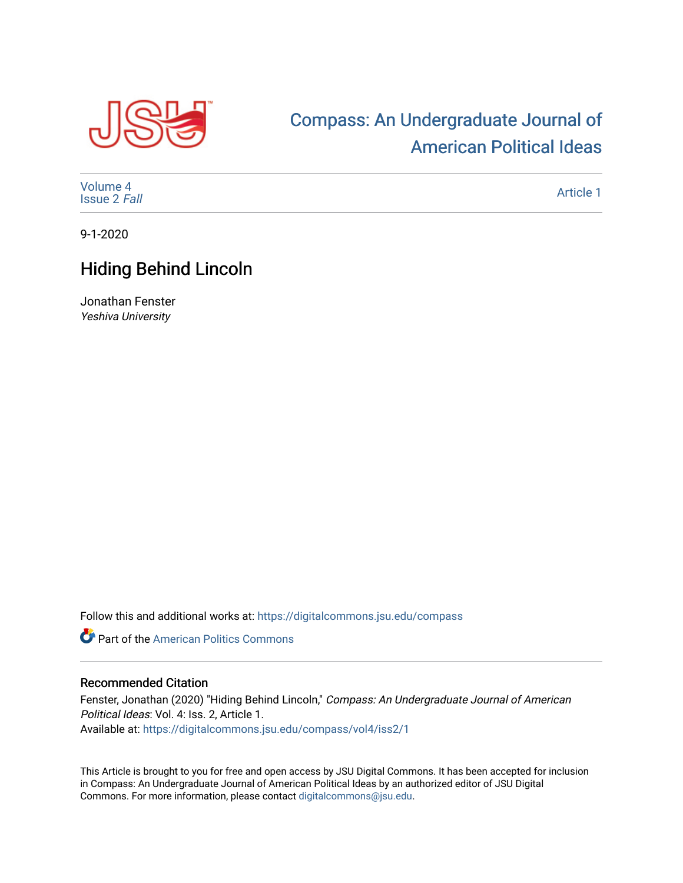

## [Compass: An Undergraduate Journal of](https://digitalcommons.jsu.edu/compass)  [American Political Ideas](https://digitalcommons.jsu.edu/compass)

[Volume 4](https://digitalcommons.jsu.edu/compass/vol4) [Issue 2](https://digitalcommons.jsu.edu/compass/vol4/iss2) Fall

[Article 1](https://digitalcommons.jsu.edu/compass/vol4/iss2/1) 

9-1-2020

## Hiding Behind Lincoln

Jonathan Fenster Yeshiva University

Follow this and additional works at: [https://digitalcommons.jsu.edu/compass](https://digitalcommons.jsu.edu/compass?utm_source=digitalcommons.jsu.edu%2Fcompass%2Fvol4%2Fiss2%2F1&utm_medium=PDF&utm_campaign=PDFCoverPages)

**Part of the American Politics Commons** 

## Recommended Citation

Fenster, Jonathan (2020) "Hiding Behind Lincoln," Compass: An Undergraduate Journal of American Political Ideas: Vol. 4: Iss. 2, Article 1. Available at: [https://digitalcommons.jsu.edu/compass/vol4/iss2/1](https://digitalcommons.jsu.edu/compass/vol4/iss2/1?utm_source=digitalcommons.jsu.edu%2Fcompass%2Fvol4%2Fiss2%2F1&utm_medium=PDF&utm_campaign=PDFCoverPages)

This Article is brought to you for free and open access by JSU Digital Commons. It has been accepted for inclusion in Compass: An Undergraduate Journal of American Political Ideas by an authorized editor of JSU Digital Commons. For more information, please contact [digitalcommons@jsu.edu.](mailto:digitalcommons@jsu.edu)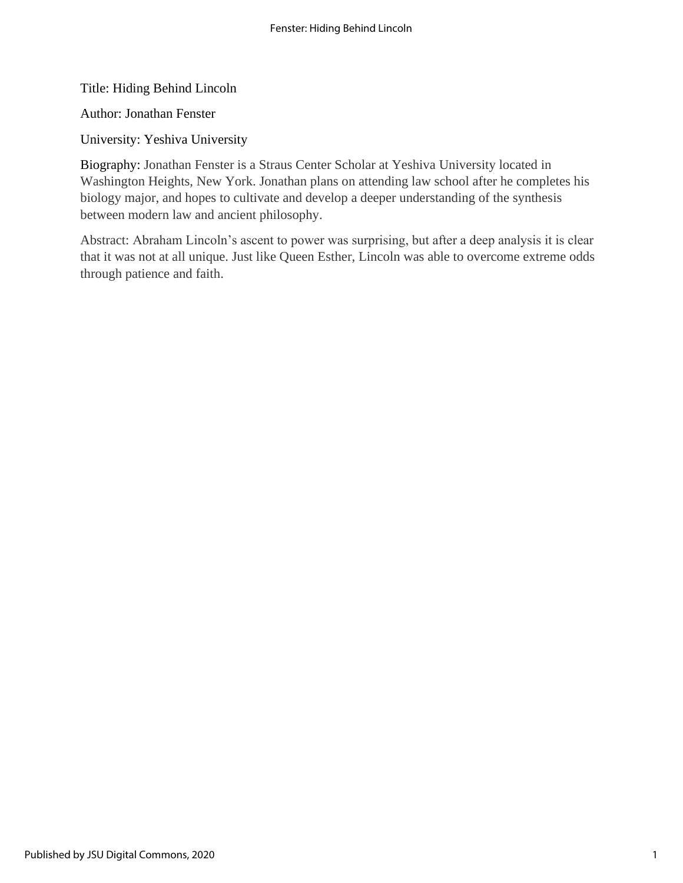Title: Hiding Behind Lincoln

Author: Jonathan Fenster

University: Yeshiva University

Biography: Jonathan Fenster is a Straus Center Scholar at Yeshiva University located in Washington Heights, New York. Jonathan plans on attending law school after he completes his biology major, and hopes to cultivate and develop a deeper understanding of the synthesis between modern law and ancient philosophy.

Abstract: Abraham Lincoln's ascent to power was surprising, but after a deep analysis it is clear that it was not at all unique. Just like Queen Esther, Lincoln was able to overcome extreme odds through patience and faith.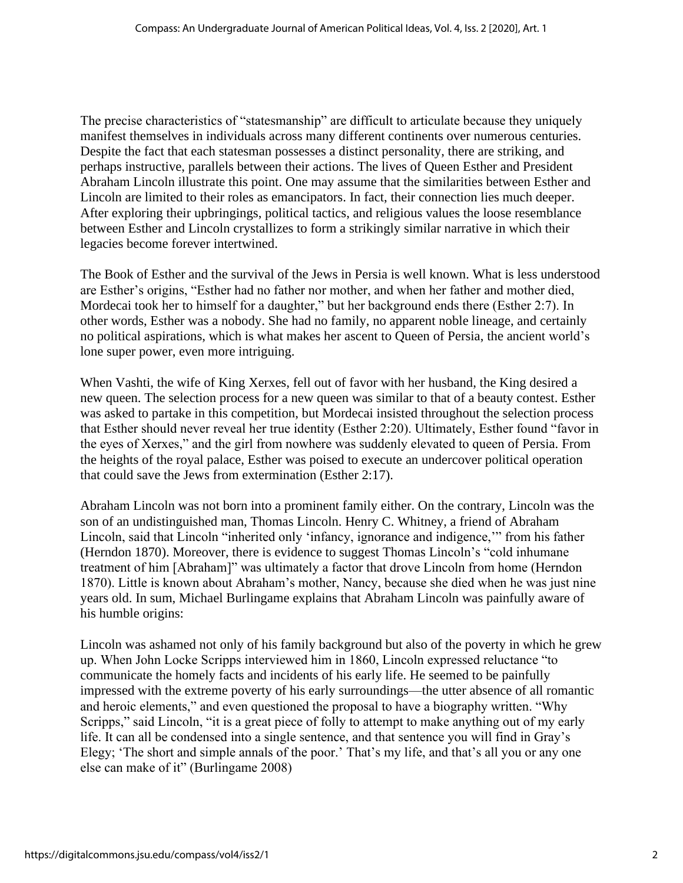The precise characteristics of "statesmanship" are difficult to articulate because they uniquely manifest themselves in individuals across many different continents over numerous centuries. Despite the fact that each statesman possesses a distinct personality, there are striking, and perhaps instructive, parallels between their actions. The lives of Queen Esther and President Abraham Lincoln illustrate this point. One may assume that the similarities between Esther and Lincoln are limited to their roles as emancipators. In fact, their connection lies much deeper. After exploring their upbringings, political tactics, and religious values the loose resemblance between Esther and Lincoln crystallizes to form a strikingly similar narrative in which their legacies become forever intertwined.

The Book of Esther and the survival of the Jews in Persia is well known. What is less understood are Esther's origins, "Esther had no father nor mother, and when her father and mother died, Mordecai took her to himself for a daughter," but her background ends there (Esther 2:7). In other words, Esther was a nobody. She had no family, no apparent noble lineage, and certainly no political aspirations, which is what makes her ascent to Queen of Persia, the ancient world's lone super power, even more intriguing.

When Vashti, the wife of King Xerxes, fell out of favor with her husband, the King desired a new queen. The selection process for a new queen was similar to that of a beauty contest. Esther was asked to partake in this competition, but Mordecai insisted throughout the selection process that Esther should never reveal her true identity (Esther 2:20). Ultimately, Esther found "favor in the eyes of Xerxes," and the girl from nowhere was suddenly elevated to queen of Persia. From the heights of the royal palace, Esther was poised to execute an undercover political operation that could save the Jews from extermination (Esther 2:17).

Abraham Lincoln was not born into a prominent family either. On the contrary, Lincoln was the son of an undistinguished man, Thomas Lincoln. Henry C. Whitney, a friend of Abraham Lincoln, said that Lincoln "inherited only 'infancy, ignorance and indigence,'" from his father (Herndon 1870). Moreover, there is evidence to suggest Thomas Lincoln's "cold inhumane treatment of him [Abraham]" was ultimately a factor that drove Lincoln from home (Herndon 1870). Little is known about Abraham's mother, Nancy, because she died when he was just nine years old. In sum, Michael Burlingame explains that Abraham Lincoln was painfully aware of his humble origins:

Lincoln was ashamed not only of his family background but also of the poverty in which he grew up. When John Locke Scripps interviewed him in 1860, Lincoln expressed reluctance "to communicate the homely facts and incidents of his early life. He seemed to be painfully impressed with the extreme poverty of his early surroundings—the utter absence of all romantic and heroic elements," and even questioned the proposal to have a biography written. "Why Scripps," said Lincoln, "it is a great piece of folly to attempt to make anything out of my early life. It can all be condensed into a single sentence, and that sentence you will find in Gray's Elegy; 'The short and simple annals of the poor.' That's my life, and that's all you or any one else can make of it" (Burlingame 2008)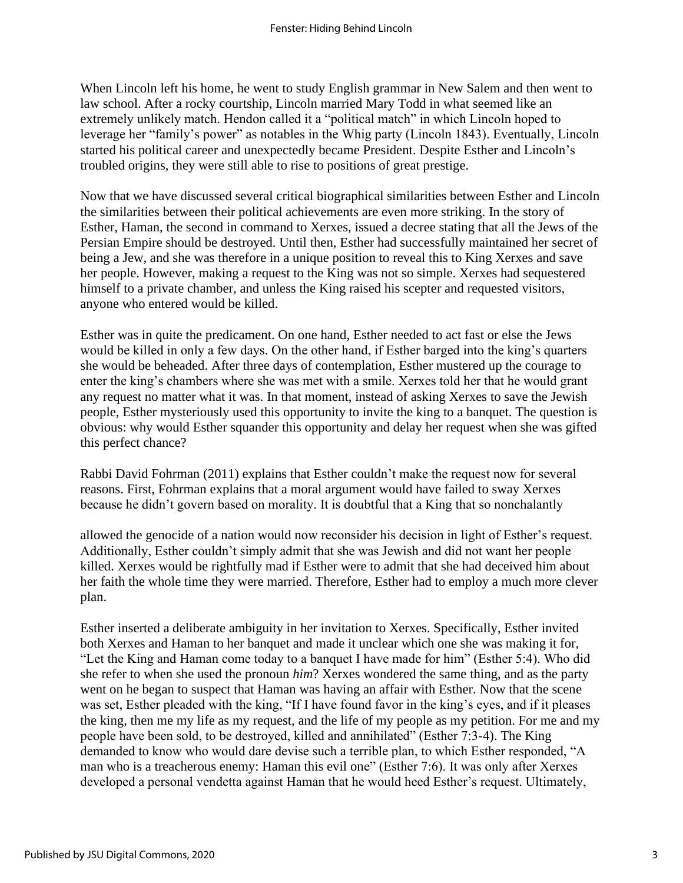When Lincoln left his home, he went to study English grammar in New Salem and then went to law school. After a rocky courtship, Lincoln married Mary Todd in what seemed like an extremely unlikely match. Hendon called it a "political match" in which Lincoln hoped to leverage her "family's power" as notables in the Whig party (Lincoln 1843). Eventually, Lincoln started his political career and unexpectedly became President. Despite Esther and Lincoln's troubled origins, they were still able to rise to positions of great prestige.

Now that we have discussed several critical biographical similarities between Esther and Lincoln the similarities between their political achievements are even more striking. In the story of Esther, Haman, the second in command to Xerxes, issued a decree stating that all the Jews of the Persian Empire should be destroyed. Until then, Esther had successfully maintained her secret of being a Jew, and she was therefore in a unique position to reveal this to King Xerxes and save her people. However, making a request to the King was not so simple. Xerxes had sequestered himself to a private chamber, and unless the King raised his scepter and requested visitors, anyone who entered would be killed.

Esther was in quite the predicament. On one hand, Esther needed to act fast or else the Jews would be killed in only a few days. On the other hand, if Esther barged into the king's quarters she would be beheaded. After three days of contemplation, Esther mustered up the courage to enter the king's chambers where she was met with a smile. Xerxes told her that he would grant any request no matter what it was. In that moment, instead of asking Xerxes to save the Jewish people, Esther mysteriously used this opportunity to invite the king to a banquet. The question is obvious: why would Esther squander this opportunity and delay her request when she was gifted this perfect chance?

Rabbi David Fohrman (2011) explains that Esther couldn't make the request now for several reasons. First, Fohrman explains that a moral argument would have failed to sway Xerxes because he didn't govern based on morality. It is doubtful that a King that so nonchalantly

allowed the genocide of a nation would now reconsider his decision in light of Esther's request. Additionally, Esther couldn't simply admit that she was Jewish and did not want her people killed. Xerxes would be rightfully mad if Esther were to admit that she had deceived him about her faith the whole time they were married. Therefore, Esther had to employ a much more clever plan.

Esther inserted a deliberate ambiguity in her invitation to Xerxes. Specifically, Esther invited both Xerxes and Haman to her banquet and made it unclear which one she was making it for, "Let the King and Haman come today to a banquet I have made for him" (Esther 5:4). Who did she refer to when she used the pronoun *him*? Xerxes wondered the same thing, and as the party went on he began to suspect that Haman was having an affair with Esther. Now that the scene was set, Esther pleaded with the king, "If I have found favor in the king's eyes, and if it pleases the king, then me my life as my request, and the life of my people as my petition. For me and my people have been sold, to be destroyed, killed and annihilated" (Esther 7:3-4). The King demanded to know who would dare devise such a terrible plan, to which Esther responded, "A man who is a treacherous enemy: Haman this evil one" (Esther 7:6). It was only after Xerxes developed a personal vendetta against Haman that he would heed Esther's request. Ultimately,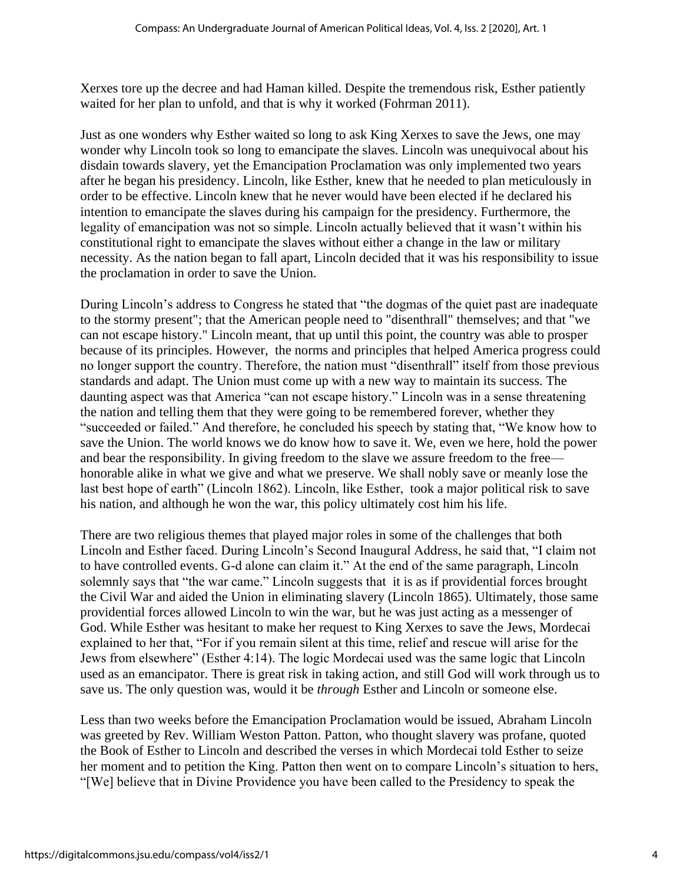Xerxes tore up the decree and had Haman killed. Despite the tremendous risk, Esther patiently waited for her plan to unfold, and that is why it worked (Fohrman 2011).

Just as one wonders why Esther waited so long to ask King Xerxes to save the Jews, one may wonder why Lincoln took so long to emancipate the slaves. Lincoln was unequivocal about his disdain towards slavery, yet the Emancipation Proclamation was only implemented two years after he began his presidency. Lincoln, like Esther, knew that he needed to plan meticulously in order to be effective. Lincoln knew that he never would have been elected if he declared his intention to emancipate the slaves during his campaign for the presidency. Furthermore, the legality of emancipation was not so simple. Lincoln actually believed that it wasn't within his constitutional right to emancipate the slaves without either a change in the law or military necessity. As the nation began to fall apart, Lincoln decided that it was his responsibility to issue the proclamation in order to save the Union.

During Lincoln's address to Congress he stated that "the dogmas of the quiet past are inadequate to the stormy present"; that the American people need to "disenthrall" themselves; and that "we can not escape history." Lincoln meant, that up until this point, the country was able to prosper because of its principles. However, the norms and principles that helped America progress could no longer support the country. Therefore, the nation must "disenthrall" itself from those previous standards and adapt. The Union must come up with a new way to maintain its success. The daunting aspect was that America "can not escape history." Lincoln was in a sense threatening the nation and telling them that they were going to be remembered forever, whether they "succeeded or failed." And therefore, he concluded his speech by stating that, "We know how to save the Union. The world knows we do know how to save it. We, even we here, hold the power and bear the responsibility. In giving freedom to the slave we assure freedom to the free honorable alike in what we give and what we preserve. We shall nobly save or meanly lose the last best hope of earth" (Lincoln 1862). Lincoln, like Esther, took a major political risk to save his nation, and although he won the war, this policy ultimately cost him his life.

There are two religious themes that played major roles in some of the challenges that both Lincoln and Esther faced. During Lincoln's Second Inaugural Address, he said that, "I claim not to have controlled events. G-d alone can claim it." At the end of the same paragraph, Lincoln solemnly says that "the war came." Lincoln suggests that it is as if providential forces brought the Civil War and aided the Union in eliminating slavery (Lincoln 1865). Ultimately, those same providential forces allowed Lincoln to win the war, but he was just acting as a messenger of God. While Esther was hesitant to make her request to King Xerxes to save the Jews, Mordecai explained to her that, "For if you remain silent at this time, relief and rescue will arise for the Jews from elsewhere" (Esther 4:14). The logic Mordecai used was the same logic that Lincoln used as an emancipator. There is great risk in taking action, and still God will work through us to save us. The only question was, would it be *through* Esther and Lincoln or someone else.

Less than two weeks before the Emancipation Proclamation would be issued, Abraham Lincoln was greeted by Rev. William Weston Patton. Patton, who thought slavery was profane, quoted the Book of Esther to Lincoln and described the verses in which Mordecai told Esther to seize her moment and to petition the King. Patton then went on to compare Lincoln's situation to hers, "[We] believe that in Divine Providence you have been called to the Presidency to speak the